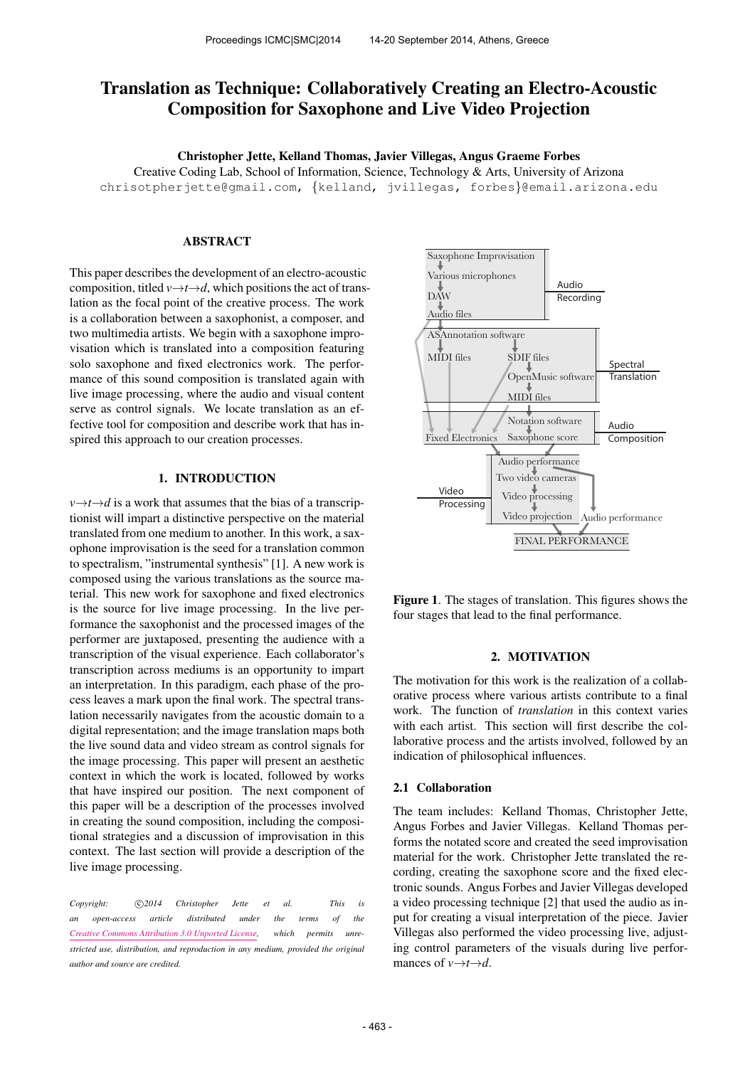# Translation as Technique: Collaboratively Creating an Electro-Acoustic Composition for Saxophone and Live Video Projection

Christopher Jette, Kelland Thomas, Javier Villegas, Angus Graeme Forbes

Creative Coding Lab, School of Information, Science, Technology & Arts, University of Arizona

[chrisotpherjette@gmail.com,](mailto:christopherjette@gmail.com) {[kelland,](mailto:kelland@email.arizona.edu) [jvillegas,](mailto:jvillegas@email.arizona.edu) forbes}[@email.arizona.edu](mailto:forbes@email.arizona.edu)

# ABSTRACT

This paper describes the development of an electro-acoustic composition, titled  $v \rightarrow t \rightarrow d$ , which positions the act of translation as the focal point of the creative process. The work is a collaboration between a saxophonist, a composer, and two multimedia artists. We begin with a saxophone improvisation which is translated into a composition featuring solo saxophone and fixed electronics work. The performance of this sound composition is translated again with live image processing, where the audio and visual content serve as control signals. We locate translation as an effective tool for composition and describe work that has inspired this approach to our creation processes.

# 1. INTRODUCTION

 $v \rightarrow t \rightarrow d$  is a work that assumes that the bias of a transcriptionist will impart a distinctive perspective on the material translated from one medium to another. In this work, a saxophone improvisation is the seed for a translation common to spectralism, "instrumental synthesis" [1]. A new work is composed using the various translations as the source material. This new work for saxophone and fixed electronics is the source for live image processing. In the live performance the saxophonist and the processed images of the performer are juxtaposed, presenting the audience with a transcription of the visual experience. Each collaborator's transcription across mediums is an opportunity to impart an interpretation. In this paradigm, each phase of the process leaves a mark upon the final work. The spectral translation necessarily navigates from the acoustic domain to a digital representation; and the image translation maps both the live sound data and video stream as control signals for the image processing. This paper will present an aesthetic context in which the work is located, followed by works that have inspired our position. The next component of this paper will be a description of the processes involved in creating the sound composition, including the compositional strategies and a discussion of improvisation in this context. The last section will provide a description of the live image processing.

*Copyright:*  $\bigcirc$  2014 *Christopher Jette et al.* This is *an open-access article distributed under the terms of the [Creative Commons Attribution 3.0 Unported License,](http://creativecommons.org/licenses/by/3.0/) which permits unrestricted use, distribution, and reproduction in any medium, provided the original author and source are credited.*



Figure 1. The stages of translation. This figures shows the four stages that lead to the final performance.

## 2. MOTIVATION

The motivation for this work is the realization of a collaborative process where various artists contribute to a final work. The function of *translation* in this context varies with each artist. This section will first describe the collaborative process and the artists involved, followed by an indication of philosophical influences.

## 2.1 Collaboration

The team includes: Kelland Thomas, Christopher Jette, Angus Forbes and Javier Villegas. Kelland Thomas performs the notated score and created the seed improvisation material for the work. Christopher Jette translated the recording, creating the saxophone score and the fixed electronic sounds. Angus Forbes and Javier Villegas developed a video processing technique [2] that used the audio as input for creating a visual interpretation of the piece. Javier Villegas also performed the video processing live, adjusting control parameters of the visuals during live performances of  $v \rightarrow t \rightarrow d$ .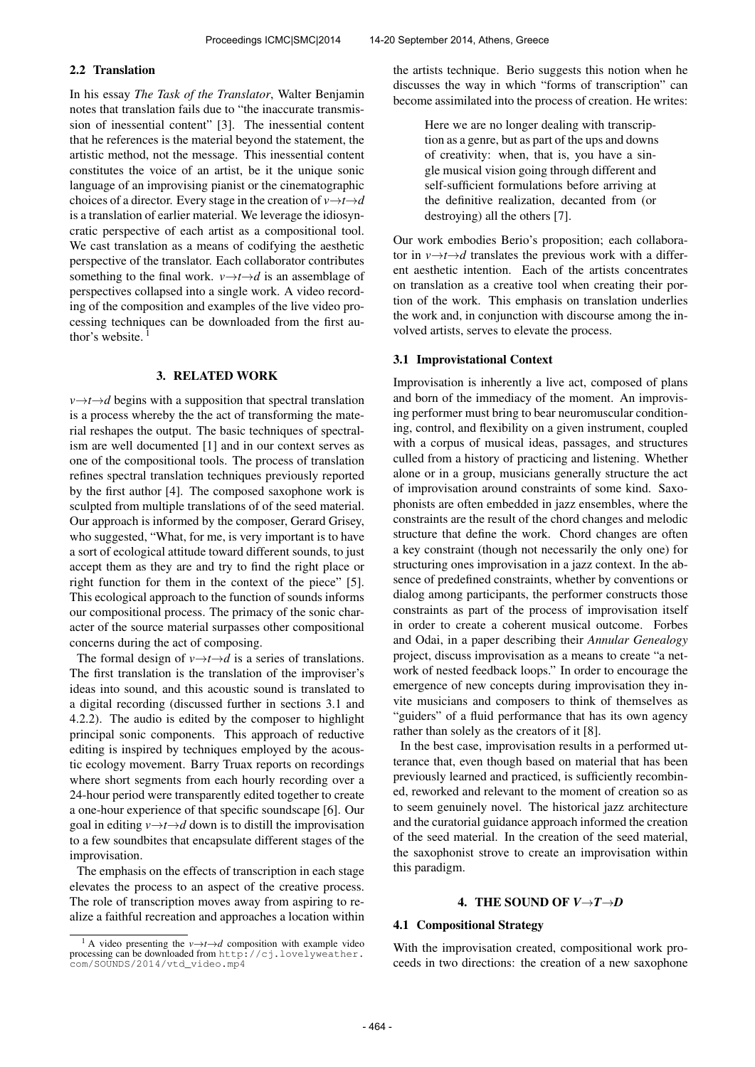#### 2.2 Translation

In his essay *The Task of the Translator*, Walter Benjamin notes that translation fails due to "the inaccurate transmission of inessential content" [3]. The inessential content that he references is the material beyond the statement, the artistic method, not the message. This inessential content constitutes the voice of an artist, be it the unique sonic language of an improvising pianist or the cinematographic choices of a director. Every stage in the creation of  $v \rightarrow t \rightarrow d$ is a translation of earlier material. We leverage the idiosyncratic perspective of each artist as a compositional tool. We cast translation as a means of codifying the aesthetic perspective of the translator. Each collaborator contributes something to the final work.  $v \rightarrow t \rightarrow d$  is an assemblage of perspectives collapsed into a single work. A video recording of the composition and examples of the live video processing techniques can be downloaded from the first author's website.

## 3. RELATED WORK

 $v \rightarrow t \rightarrow d$  begins with a supposition that spectral translation is a process whereby the the act of transforming the material reshapes the output. The basic techniques of spectralism are well documented [1] and in our context serves as one of the compositional tools. The process of translation refines spectral translation techniques previously reported by the first author [4]. The composed saxophone work is sculpted from multiple translations of of the seed material. Our approach is informed by the composer, Gerard Grisey, who suggested, "What, for me, is very important is to have a sort of ecological attitude toward different sounds, to just accept them as they are and try to find the right place or right function for them in the context of the piece" [5]. This ecological approach to the function of sounds informs our compositional process. The primacy of the sonic character of the source material surpasses other compositional concerns during the act of composing.

The formal design of  $v \rightarrow t \rightarrow d$  is a series of translations. The first translation is the translation of the improviser's ideas into sound, and this acoustic sound is translated to a digital recording (discussed further in sections 3.1 and 4.2.2). The audio is edited by the composer to highlight principal sonic components. This approach of reductive editing is inspired by techniques employed by the acoustic ecology movement. Barry Truax reports on recordings where short segments from each hourly recording over a 24-hour period were transparently edited together to create a one-hour experience of that specific soundscape [6]. Our goal in editing  $v \rightarrow t \rightarrow d$  down is to distill the improvisation to a few soundbites that encapsulate different stages of the improvisation.

The emphasis on the effects of transcription in each stage elevates the process to an aspect of the creative process. The role of transcription moves away from aspiring to realize a faithful recreation and approaches a location within the artists technique. Berio suggests this notion when he discusses the way in which "forms of transcription" can become assimilated into the process of creation. He writes:

> Here we are no longer dealing with transcription as a genre, but as part of the ups and downs of creativity: when, that is, you have a single musical vision going through different and self-sufficient formulations before arriving at the definitive realization, decanted from (or destroying) all the others [7].

Our work embodies Berio's proposition; each collaborator in  $v \rightarrow t \rightarrow d$  translates the previous work with a different aesthetic intention. Each of the artists concentrates on translation as a creative tool when creating their portion of the work. This emphasis on translation underlies the work and, in conjunction with discourse among the involved artists, serves to elevate the process.

## 3.1 Improvistational Context

Improvisation is inherently a live act, composed of plans and born of the immediacy of the moment. An improvising performer must bring to bear neuromuscular conditioning, control, and flexibility on a given instrument, coupled with a corpus of musical ideas, passages, and structures culled from a history of practicing and listening. Whether alone or in a group, musicians generally structure the act of improvisation around constraints of some kind. Saxophonists are often embedded in jazz ensembles, where the constraints are the result of the chord changes and melodic structure that define the work. Chord changes are often a key constraint (though not necessarily the only one) for structuring ones improvisation in a jazz context. In the absence of predefined constraints, whether by conventions or dialog among participants, the performer constructs those constraints as part of the process of improvisation itself in order to create a coherent musical outcome. Forbes and Odai, in a paper describing their *Annular Genealogy* project, discuss improvisation as a means to create "a network of nested feedback loops." In order to encourage the emergence of new concepts during improvisation they invite musicians and composers to think of themselves as "guiders" of a fluid performance that has its own agency rather than solely as the creators of it [8].

In the best case, improvisation results in a performed utterance that, even though based on material that has been previously learned and practiced, is sufficiently recombined, reworked and relevant to the moment of creation so as to seem genuinely novel. The historical jazz architecture and the curatorial guidance approach informed the creation of the seed material. In the creation of the seed material, the saxophonist strove to create an improvisation within this paradigm.

#### 4. THE SOUND OF  $V \rightarrow T \rightarrow D$

# 4.1 Compositional Strategy

With the improvisation created, compositional work proceeds in two directions: the creation of a new saxophone

<sup>&</sup>lt;sup>1</sup> A video presenting the  $v \rightarrow t \rightarrow d$  composition with example video processing can be downloaded from [http://cj.lovelyweather.](http://cj.lovelyweather.com/SOUNDS/2014/vtd_video.mp4) [com/SOUNDS/2014/vtd\\_video.mp4](http://cj.lovelyweather.com/SOUNDS/2014/vtd_video.mp4)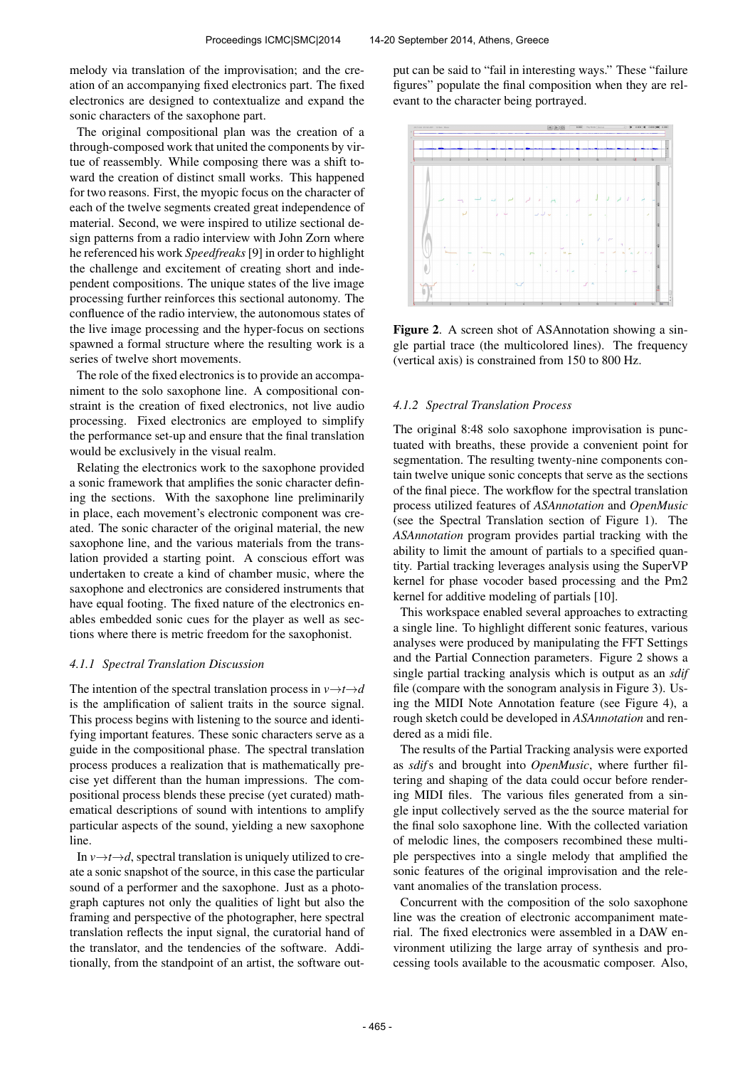melody via translation of the improvisation; and the creation of an accompanying fixed electronics part. The fixed electronics are designed to contextualize and expand the sonic characters of the saxophone part.

The original compositional plan was the creation of a through-composed work that united the components by virtue of reassembly. While composing there was a shift toward the creation of distinct small works. This happened for two reasons. First, the myopic focus on the character of each of the twelve segments created great independence of material. Second, we were inspired to utilize sectional design patterns from a radio interview with John Zorn where he referenced his work *Speedfreaks*[9] in order to highlight the challenge and excitement of creating short and independent compositions. The unique states of the live image processing further reinforces this sectional autonomy. The confluence of the radio interview, the autonomous states of the live image processing and the hyper-focus on sections spawned a formal structure where the resulting work is a series of twelve short movements.

The role of the fixed electronics is to provide an accompaniment to the solo saxophone line. A compositional constraint is the creation of fixed electronics, not live audio processing. Fixed electronics are employed to simplify the performance set-up and ensure that the final translation would be exclusively in the visual realm.

Relating the electronics work to the saxophone provided a sonic framework that amplifies the sonic character defining the sections. With the saxophone line preliminarily in place, each movement's electronic component was created. The sonic character of the original material, the new saxophone line, and the various materials from the translation provided a starting point. A conscious effort was undertaken to create a kind of chamber music, where the saxophone and electronics are considered instruments that have equal footing. The fixed nature of the electronics enables embedded sonic cues for the player as well as sections where there is metric freedom for the saxophonist.

#### *4.1.1 Spectral Translation Discussion*

The intention of the spectral translation process in  $v \rightarrow t \rightarrow d$ is the amplification of salient traits in the source signal. This process begins with listening to the source and identifying important features. These sonic characters serve as a guide in the compositional phase. The spectral translation process produces a realization that is mathematically precise yet different than the human impressions. The compositional process blends these precise (yet curated) mathematical descriptions of sound with intentions to amplify particular aspects of the sound, yielding a new saxophone line.

In  $\nu \rightarrow t \rightarrow d$ , spectral translation is uniquely utilized to create a sonic snapshot of the source, in this case the particular sound of a performer and the saxophone. Just as a photograph captures not only the qualities of light but also the framing and perspective of the photographer, here spectral translation reflects the input signal, the curatorial hand of the translator, and the tendencies of the software. Additionally, from the standpoint of an artist, the software output can be said to "fail in interesting ways." These "failure figures" populate the final composition when they are relevant to the character being portrayed.



Figure 2. A screen shot of ASAnnotation showing a single partial trace (the multicolored lines). The frequency (vertical axis) is constrained from 150 to 800 Hz.

## *4.1.2 Spectral Translation Process*

The original 8:48 solo saxophone improvisation is punctuated with breaths, these provide a convenient point for segmentation. The resulting twenty-nine components contain twelve unique sonic concepts that serve as the sections of the final piece. The workflow for the spectral translation process utilized features of *ASAnnotation* and *OpenMusic* (see the Spectral Translation section of Figure 1). The *ASAnnotation* program provides partial tracking with the ability to limit the amount of partials to a specified quantity. Partial tracking leverages analysis using the SuperVP kernel for phase vocoder based processing and the Pm2 kernel for additive modeling of partials [10].

This workspace enabled several approaches to extracting a single line. To highlight different sonic features, various analyses were produced by manipulating the FFT Settings and the Partial Connection parameters. Figure 2 shows a single partial tracking analysis which is output as an *sdif* file (compare with the sonogram analysis in Figure 3). Using the MIDI Note Annotation feature (see Figure 4), a rough sketch could be developed in *ASAnnotation* and rendered as a midi file.

The results of the Partial Tracking analysis were exported as *sdif*s and brought into *OpenMusic*, where further filtering and shaping of the data could occur before rendering MIDI files. The various files generated from a single input collectively served as the the source material for the final solo saxophone line. With the collected variation of melodic lines, the composers recombined these multiple perspectives into a single melody that amplified the sonic features of the original improvisation and the relevant anomalies of the translation process.

Concurrent with the composition of the solo saxophone line was the creation of electronic accompaniment material. The fixed electronics were assembled in a DAW environment utilizing the large array of synthesis and processing tools available to the acousmatic composer. Also,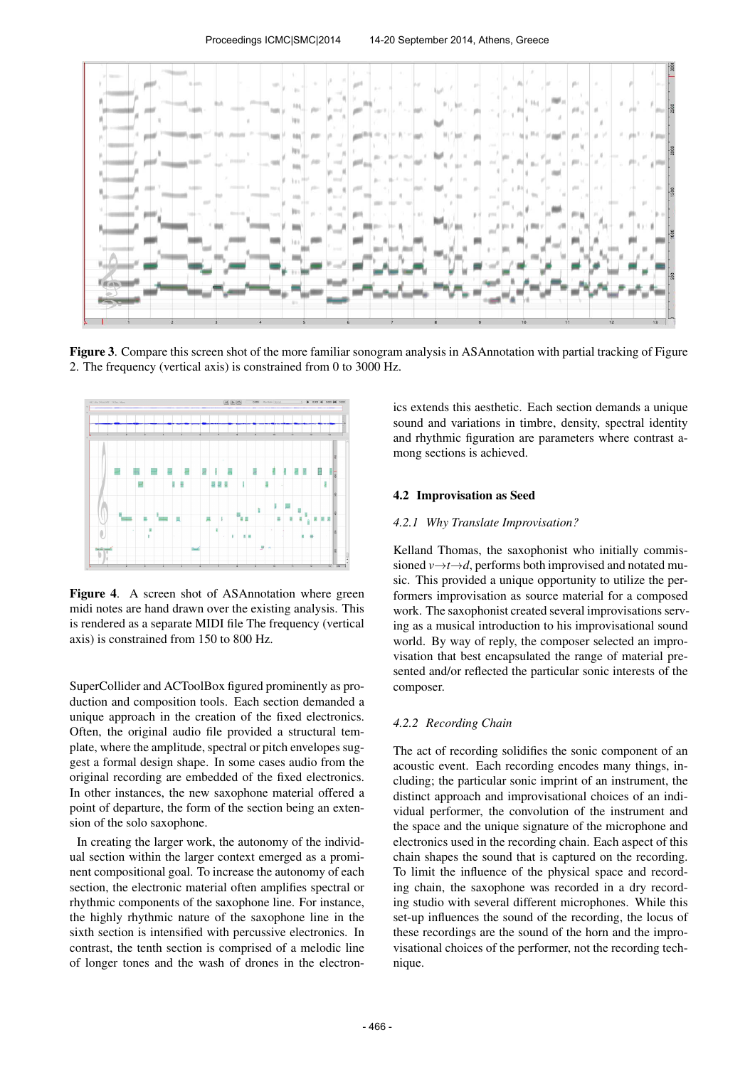

Figure 3. Compare this screen shot of the more familiar sonogram analysis in ASAnnotation with partial tracking of Figure 2. The frequency (vertical axis) is constrained from 0 to 3000 Hz.



Figure 4. A screen shot of ASAnnotation where green midi notes are hand drawn over the existing analysis. This is rendered as a separate MIDI file The frequency (vertical axis) is constrained from 150 to 800 Hz.

SuperCollider and ACToolBox figured prominently as production and composition tools. Each section demanded a unique approach in the creation of the fixed electronics. Often, the original audio file provided a structural template, where the amplitude, spectral or pitch envelopes suggest a formal design shape. In some cases audio from the original recording are embedded of the fixed electronics. In other instances, the new saxophone material offered a point of departure, the form of the section being an extension of the solo saxophone.

In creating the larger work, the autonomy of the individual section within the larger context emerged as a prominent compositional goal. To increase the autonomy of each section, the electronic material often amplifies spectral or rhythmic components of the saxophone line. For instance, the highly rhythmic nature of the saxophone line in the sixth section is intensified with percussive electronics. In contrast, the tenth section is comprised of a melodic line of longer tones and the wash of drones in the electronics extends this aesthetic. Each section demands a unique sound and variations in timbre, density, spectral identity and rhythmic figuration are parameters where contrast among sections is achieved.

## 4.2 Improvisation as Seed

#### *4.2.1 Why Translate Improvisation?*

Kelland Thomas, the saxophonist who initially commissioned  $v \rightarrow t \rightarrow d$ , performs both improvised and notated music. This provided a unique opportunity to utilize the performers improvisation as source material for a composed work. The saxophonist created several improvisations serving as a musical introduction to his improvisational sound world. By way of reply, the composer selected an improvisation that best encapsulated the range of material presented and/or reflected the particular sonic interests of the composer.

#### *4.2.2 Recording Chain*

The act of recording solidifies the sonic component of an acoustic event. Each recording encodes many things, including; the particular sonic imprint of an instrument, the distinct approach and improvisational choices of an individual performer, the convolution of the instrument and the space and the unique signature of the microphone and electronics used in the recording chain. Each aspect of this chain shapes the sound that is captured on the recording. To limit the influence of the physical space and recording chain, the saxophone was recorded in a dry recording studio with several different microphones. While this set-up influences the sound of the recording, the locus of these recordings are the sound of the horn and the improvisational choices of the performer, not the recording technique.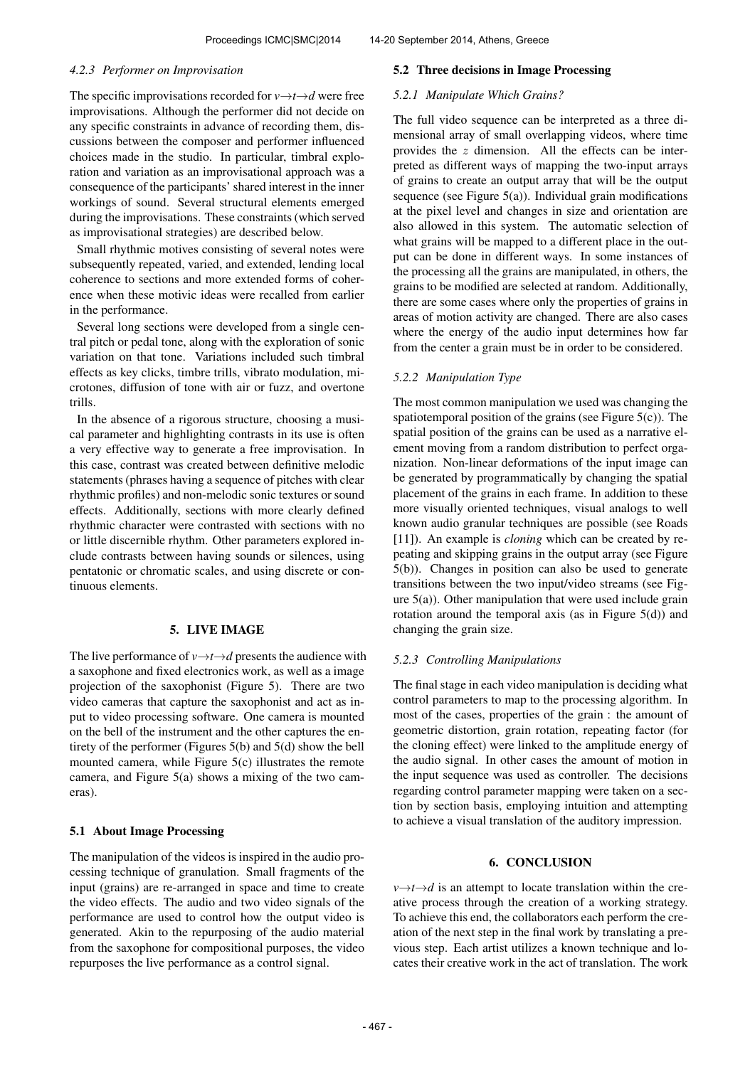#### *4.2.3 Performer on Improvisation*

The specific improvisations recorded for  $v \rightarrow t \rightarrow d$  were free improvisations. Although the performer did not decide on any specific constraints in advance of recording them, discussions between the composer and performer influenced choices made in the studio. In particular, timbral exploration and variation as an improvisational approach was a consequence of the participants' shared interest in the inner workings of sound. Several structural elements emerged during the improvisations. These constraints (which served as improvisational strategies) are described below.

Small rhythmic motives consisting of several notes were subsequently repeated, varied, and extended, lending local coherence to sections and more extended forms of coherence when these motivic ideas were recalled from earlier in the performance.

Several long sections were developed from a single central pitch or pedal tone, along with the exploration of sonic variation on that tone. Variations included such timbral effects as key clicks, timbre trills, vibrato modulation, microtones, diffusion of tone with air or fuzz, and overtone trills.

In the absence of a rigorous structure, choosing a musical parameter and highlighting contrasts in its use is often a very effective way to generate a free improvisation. In this case, contrast was created between definitive melodic statements (phrases having a sequence of pitches with clear rhythmic profiles) and non-melodic sonic textures or sound effects. Additionally, sections with more clearly defined rhythmic character were contrasted with sections with no or little discernible rhythm. Other parameters explored include contrasts between having sounds or silences, using pentatonic or chromatic scales, and using discrete or continuous elements.

## 5. LIVE IMAGE

The live performance of  $v \rightarrow t \rightarrow d$  presents the audience with a saxophone and fixed electronics work, as well as a image projection of the saxophonist (Figure 5). There are two video cameras that capture the saxophonist and act as input to video processing software. One camera is mounted on the bell of the instrument and the other captures the entirety of the performer (Figures 5(b) and 5(d) show the bell mounted camera, while Figure 5(c) illustrates the remote camera, and Figure 5(a) shows a mixing of the two cameras).

#### 5.1 About Image Processing

The manipulation of the videos is inspired in the audio processing technique of granulation. Small fragments of the input (grains) are re-arranged in space and time to create the video effects. The audio and two video signals of the performance are used to control how the output video is generated. Akin to the repurposing of the audio material from the saxophone for compositional purposes, the video repurposes the live performance as a control signal.

#### 5.2 Three decisions in Image Processing

## *5.2.1 Manipulate Which Grains?*

The full video sequence can be interpreted as a three dimensional array of small overlapping videos, where time provides the  $z$  dimension. All the effects can be interpreted as different ways of mapping the two-input arrays of grains to create an output array that will be the output sequence (see Figure  $5(a)$ ). Individual grain modifications at the pixel level and changes in size and orientation are also allowed in this system. The automatic selection of what grains will be mapped to a different place in the output can be done in different ways. In some instances of the processing all the grains are manipulated, in others, the grains to be modified are selected at random. Additionally, there are some cases where only the properties of grains in areas of motion activity are changed. There are also cases where the energy of the audio input determines how far from the center a grain must be in order to be considered.

#### *5.2.2 Manipulation Type*

The most common manipulation we used was changing the spatiotemporal position of the grains (see Figure 5(c)). The spatial position of the grains can be used as a narrative element moving from a random distribution to perfect organization. Non-linear deformations of the input image can be generated by programmatically by changing the spatial placement of the grains in each frame. In addition to these more visually oriented techniques, visual analogs to well known audio granular techniques are possible (see Roads [11]). An example is *cloning* which can be created by repeating and skipping grains in the output array (see Figure 5(b)). Changes in position can also be used to generate transitions between the two input/video streams (see Figure  $5(a)$ ). Other manipulation that were used include grain rotation around the temporal axis (as in Figure  $5(d)$ ) and changing the grain size.

## *5.2.3 Controlling Manipulations*

The final stage in each video manipulation is deciding what control parameters to map to the processing algorithm. In most of the cases, properties of the grain : the amount of geometric distortion, grain rotation, repeating factor (for the cloning effect) were linked to the amplitude energy of the audio signal. In other cases the amount of motion in the input sequence was used as controller. The decisions regarding control parameter mapping were taken on a section by section basis, employing intuition and attempting to achieve a visual translation of the auditory impression.

# 6. CONCLUSION

 $v \rightarrow t \rightarrow d$  is an attempt to locate translation within the creative process through the creation of a working strategy. To achieve this end, the collaborators each perform the creation of the next step in the final work by translating a previous step. Each artist utilizes a known technique and locates their creative work in the act of translation. The work